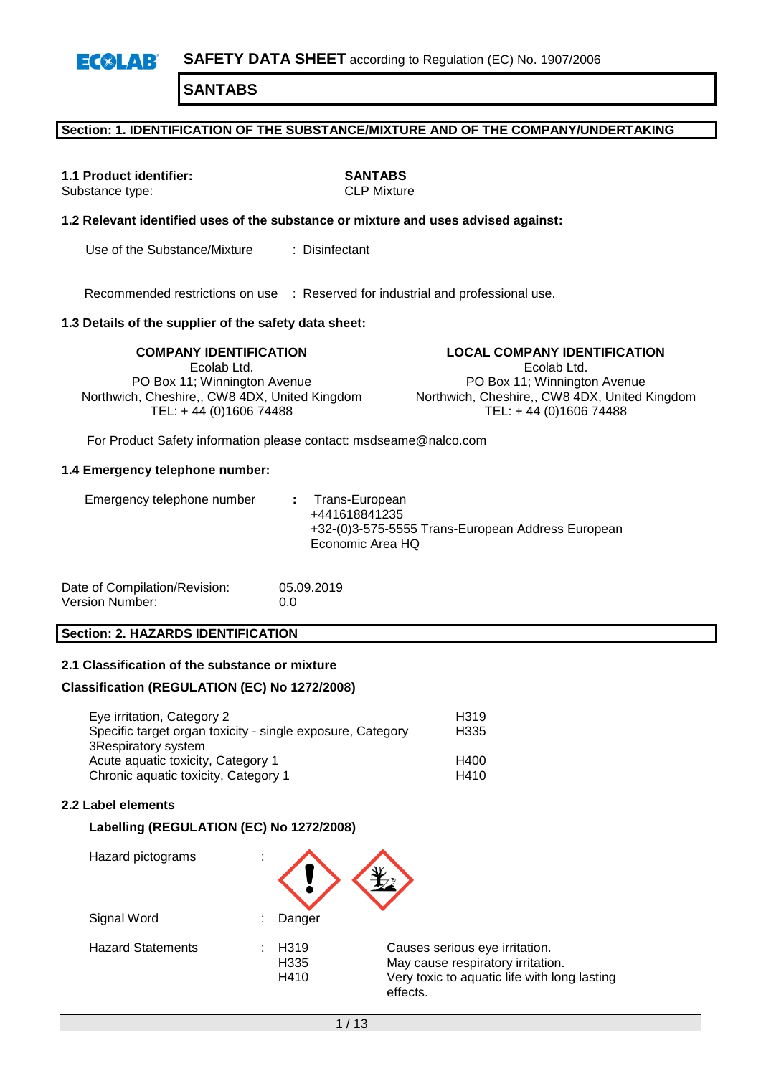#### **Section: 1. IDENTIFICATION OF THE SUBSTANCE/MIXTURE AND OF THE COMPANY/UNDERTAKING**

**1.1 Product identifier: SANTABS** Substance type:

### **1.2 Relevant identified uses of the substance or mixture and uses advised against:**

Use of the Substance/Mixture : Disinfectant

Recommended restrictions on use : Reserved for industrial and professional use.

### **1.3 Details of the supplier of the safety data sheet:**

Ecolab Ltd. PO Box 11; Winnington Avenue Northwich, Cheshire,, CW8 4DX, United Kingdom TEL: + 44 (0)1606 74488

### **COMPANY IDENTIFICATION LOCAL COMPANY IDENTIFICATION**

Ecolab Ltd. PO Box 11; Winnington Avenue Northwich, Cheshire,, CW8 4DX, United Kingdom TEL: + 44 (0)1606 74488

For Product Safety information please contact: msdseame@nalco.com

#### **1.4 Emergency telephone number:**

| Date of Compilation/Revision: | 05.09.2019 |
|-------------------------------|------------|
| Version Number:               | 0.0        |

#### **Section: 2. HAZARDS IDENTIFICATION**

### **2.1 Classification of the substance or mixture**

#### **Classification (REGULATION (EC) No 1272/2008)**

| Eye irritation, Category 2<br>Specific target organ toxicity - single exposure, Category | H <sub>319</sub><br>H335 |
|------------------------------------------------------------------------------------------|--------------------------|
| 3Respiratory system                                                                      |                          |
| Acute aguatic toxicity, Category 1                                                       | H400                     |
| Chronic aquatic toxicity, Category 1                                                     | H410                     |

### **2.2 Label elements**

#### **Labelling (REGULATION (EC) No 1272/2008)**

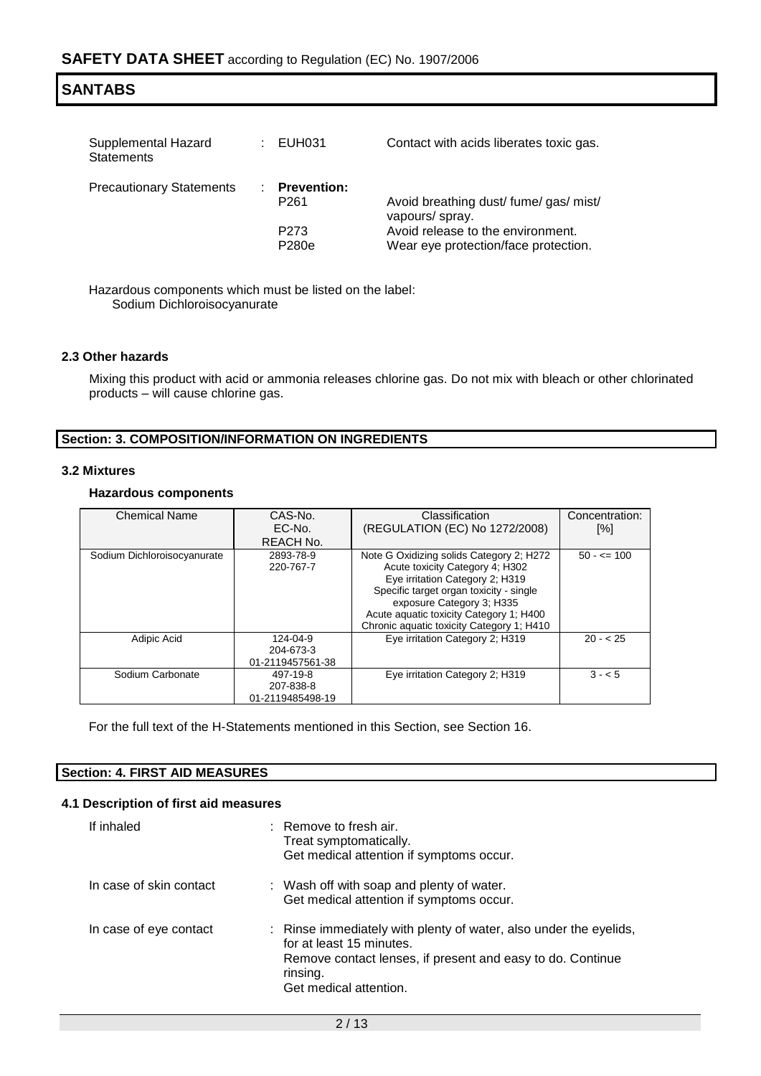| <b>SANTABS</b>                           |  |                                        |                                                                           |  |
|------------------------------------------|--|----------------------------------------|---------------------------------------------------------------------------|--|
| Supplemental Hazard<br><b>Statements</b> |  | EUH031                                 | Contact with acids liberates toxic gas.                                   |  |
| <b>Precautionary Statements</b>          |  | <b>Prevention:</b><br>P <sub>261</sub> | Avoid breathing dust/ fume/ gas/ mist/<br>vapours/ spray.                 |  |
|                                          |  | P <sub>273</sub><br>P280e              | Avoid release to the environment.<br>Wear eye protection/face protection. |  |

Hazardous components which must be listed on the label: Sodium Dichloroisocyanurate

### **2.3 Other hazards**

Mixing this product with acid or ammonia releases chlorine gas. Do not mix with bleach or other chlorinated products – will cause chlorine gas.

### **Section: 3. COMPOSITION/INFORMATION ON INGREDIENTS**

### **3.2 Mixtures**

### **Hazardous components**

| <b>Chemical Name</b>        | CAS-No.                                   | Classification                                                                                                                                                                                                                                                                 | Concentration: |
|-----------------------------|-------------------------------------------|--------------------------------------------------------------------------------------------------------------------------------------------------------------------------------------------------------------------------------------------------------------------------------|----------------|
|                             | $EC-NO$                                   | (REGULATION (EC) No 1272/2008)                                                                                                                                                                                                                                                 | [%]            |
|                             | REACH No.                                 |                                                                                                                                                                                                                                                                                |                |
| Sodium Dichloroisocyanurate | 2893-78-9<br>220-767-7                    | Note G Oxidizing solids Category 2; H272<br>Acute toxicity Category 4; H302<br>Eye irritation Category 2; H319<br>Specific target organ toxicity - single<br>exposure Category 3; H335<br>Acute aquatic toxicity Category 1; H400<br>Chronic aquatic toxicity Category 1; H410 | $50 - 5 = 100$ |
| Adipic Acid                 | 124-04-9<br>204-673-3<br>01-2119457561-38 | Eye irritation Category 2; H319                                                                                                                                                                                                                                                | $20 - 25$      |
| Sodium Carbonate            | 497-19-8<br>207-838-8<br>01-2119485498-19 | Eye irritation Category 2; H319                                                                                                                                                                                                                                                | $3 - 5$        |

For the full text of the H-Statements mentioned in this Section, see Section 16.

### **Section: 4. FIRST AID MEASURES**

### **4.1 Description of first aid measures**

| If inhaled              | $\therefore$ Remove to fresh air.<br>Treat symptomatically.<br>Get medical attention if symptoms occur.                                                                                           |
|-------------------------|---------------------------------------------------------------------------------------------------------------------------------------------------------------------------------------------------|
| In case of skin contact | : Wash off with soap and plenty of water.<br>Get medical attention if symptoms occur.                                                                                                             |
| In case of eye contact  | : Rinse immediately with plenty of water, also under the eyelids,<br>for at least 15 minutes.<br>Remove contact lenses, if present and easy to do. Continue<br>rinsing.<br>Get medical attention. |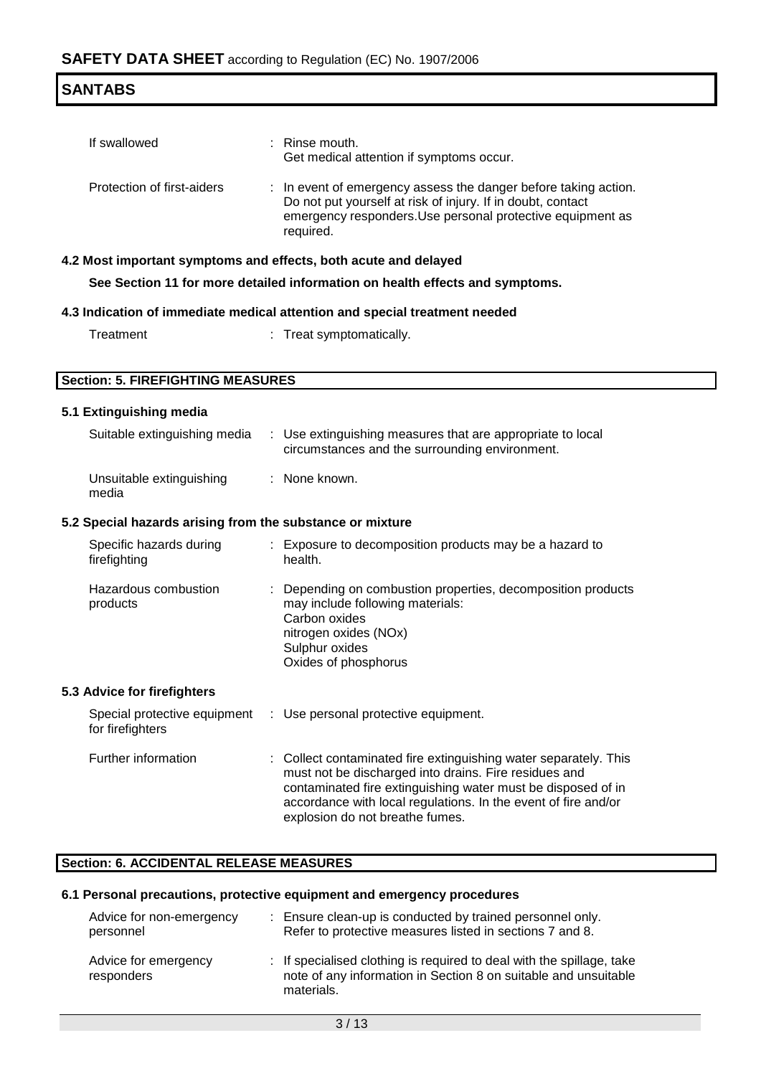| <b>SANTABS</b>             |                                                                                                                                                                                                           |  |
|----------------------------|-----------------------------------------------------------------------------------------------------------------------------------------------------------------------------------------------------------|--|
| If swallowed               | $:$ Rinse mouth.<br>Get medical attention if symptoms occur.                                                                                                                                              |  |
| Protection of first-aiders | : In event of emergency assess the danger before taking action.<br>Do not put yourself at risk of injury. If in doubt, contact<br>emergency responders. Use personal protective equipment as<br>required. |  |
|                            | 4.2 Most important symptoms and effects, both acute and delayed                                                                                                                                           |  |
|                            | See Section 11 for more detailed information on health effects and symptoms.                                                                                                                              |  |
|                            | hahaan taamtaant lainana haa noitaatta lapiham ataihammi to noitanihal S h                                                                                                                                |  |

| 4.3 Indication of immediate medical attention and special treatment needed |  |  |
|----------------------------------------------------------------------------|--|--|
|                                                                            |  |  |

| Treat symptomatically. |
|------------------------|
|                        |

## **Section: 5. FIREFIGHTING MEASURES**

### **5.1 Extinguishing media**

| Suitable extinguishing media                              | : Use extinguishing measures that are appropriate to local<br>circumstances and the surrounding environment.                                                                                                                                                |
|-----------------------------------------------------------|-------------------------------------------------------------------------------------------------------------------------------------------------------------------------------------------------------------------------------------------------------------|
| Unsuitable extinguishing<br>media                         | : None known.                                                                                                                                                                                                                                               |
| 5.2 Special hazards arising from the substance or mixture |                                                                                                                                                                                                                                                             |
| Specific hazards during<br>firefighting                   | : Exposure to decomposition products may be a hazard to<br>health.                                                                                                                                                                                          |
| Hazardous combustion<br>products                          | : Depending on combustion properties, decomposition products<br>may include following materials:<br>Carbon oxides<br>nitrogen oxides (NOx)<br>Sulphur oxides<br>Oxides of phosphorus                                                                        |
| 5.3 Advice for firefighters                               |                                                                                                                                                                                                                                                             |
| Special protective equipment<br>for firefighters          | : Use personal protective equipment.                                                                                                                                                                                                                        |
| Further information                                       | : Collect contaminated fire extinguishing water separately. This<br>must not be discharged into drains. Fire residues and<br>contaminated fire extinguishing water must be disposed of in<br>accordance with local regulations. In the event of fire and/or |

### **Section: 6. ACCIDENTAL RELEASE MEASURES**

### **6.1 Personal precautions, protective equipment and emergency procedures**

| Advice for non-emergency           | : Ensure clean-up is conducted by trained personnel only.                                                                                              |
|------------------------------------|--------------------------------------------------------------------------------------------------------------------------------------------------------|
| personnel                          | Refer to protective measures listed in sections 7 and 8.                                                                                               |
| Advice for emergency<br>responders | : If specialised clothing is required to deal with the spillage, take<br>note of any information in Section 8 on suitable and unsuitable<br>materials. |

explosion do not breathe fumes.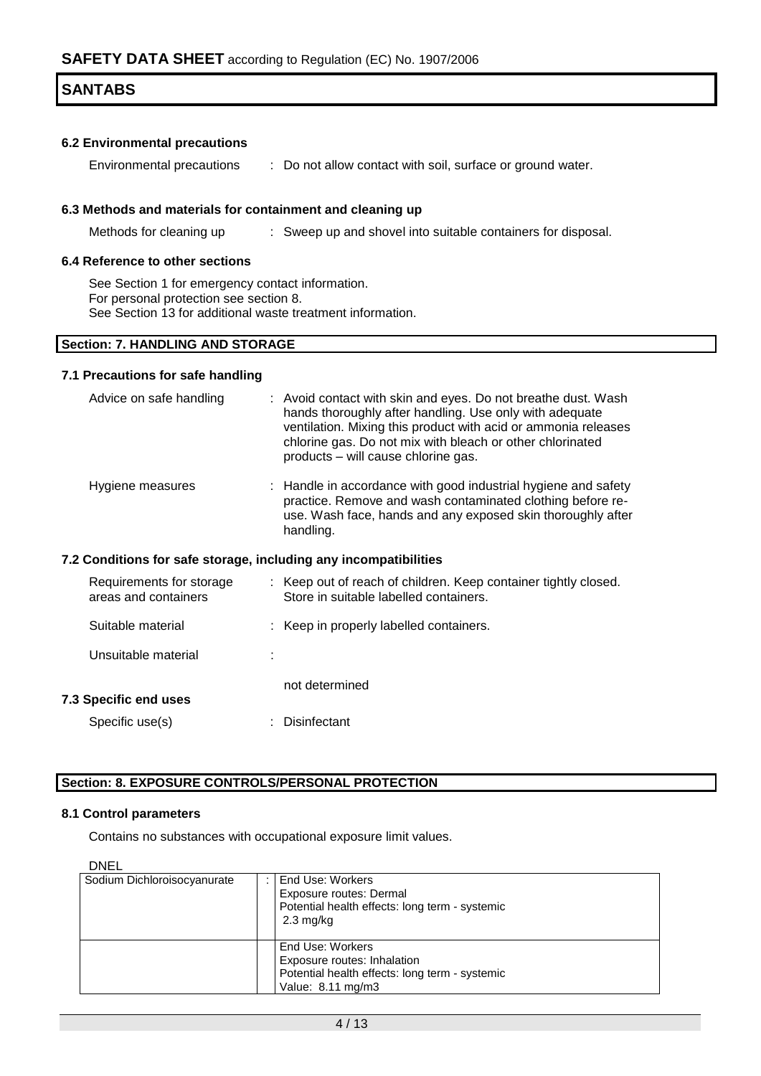### **6.2 Environmental precautions**

Environmental precautions : Do not allow contact with soil, surface or ground water.

### **6.3 Methods and materials for containment and cleaning up**

Methods for cleaning up : Sweep up and shovel into suitable containers for disposal.

#### **6.4 Reference to other sections**

See Section 1 for emergency contact information. For personal protection see section 8. See Section 13 for additional waste treatment information.

### **Section: 7. HANDLING AND STORAGE**

#### **7.1 Precautions for safe handling**

| Advice on safe handling                                          |  | : Avoid contact with skin and eyes. Do not breathe dust. Wash<br>hands thoroughly after handling. Use only with adequate<br>ventilation. Mixing this product with acid or ammonia releases<br>chlorine gas. Do not mix with bleach or other chlorinated<br>products - will cause chlorine gas. |  |
|------------------------------------------------------------------|--|------------------------------------------------------------------------------------------------------------------------------------------------------------------------------------------------------------------------------------------------------------------------------------------------|--|
| Hygiene measures                                                 |  | : Handle in accordance with good industrial hygiene and safety<br>practice. Remove and wash contaminated clothing before re-<br>use. Wash face, hands and any exposed skin thoroughly after<br>handling.                                                                                       |  |
| 7.2 Conditions for safe storage, including any incompatibilities |  |                                                                                                                                                                                                                                                                                                |  |
| Requirements for storage<br>areas and containers                 |  | : Keep out of reach of children. Keep container tightly closed.<br>Store in suitable labelled containers.                                                                                                                                                                                      |  |
| Suitable material                                                |  | : Keep in properly labelled containers.                                                                                                                                                                                                                                                        |  |
|                                                                  |  |                                                                                                                                                                                                                                                                                                |  |
| Unsuitable material                                              |  |                                                                                                                                                                                                                                                                                                |  |
| <b>7.3 Specific end uses</b>                                     |  | not determined                                                                                                                                                                                                                                                                                 |  |

### **Section: 8. EXPOSURE CONTROLS/PERSONAL PROTECTION**

#### **8.1 Control parameters**

Contains no substances with occupational exposure limit values.

| ۰, |
|----|
|----|

| ◡◝◟                         |                                                                                                                        |
|-----------------------------|------------------------------------------------------------------------------------------------------------------------|
| Sodium Dichloroisocyanurate | End Use: Workers<br>Exposure routes: Dermal<br>Potential health effects: long term - systemic<br>$2.3 \text{ mg/kg}$   |
|                             | End Use: Workers<br>Exposure routes: Inhalation<br>Potential health effects: long term - systemic<br>Value: 8.11 mg/m3 |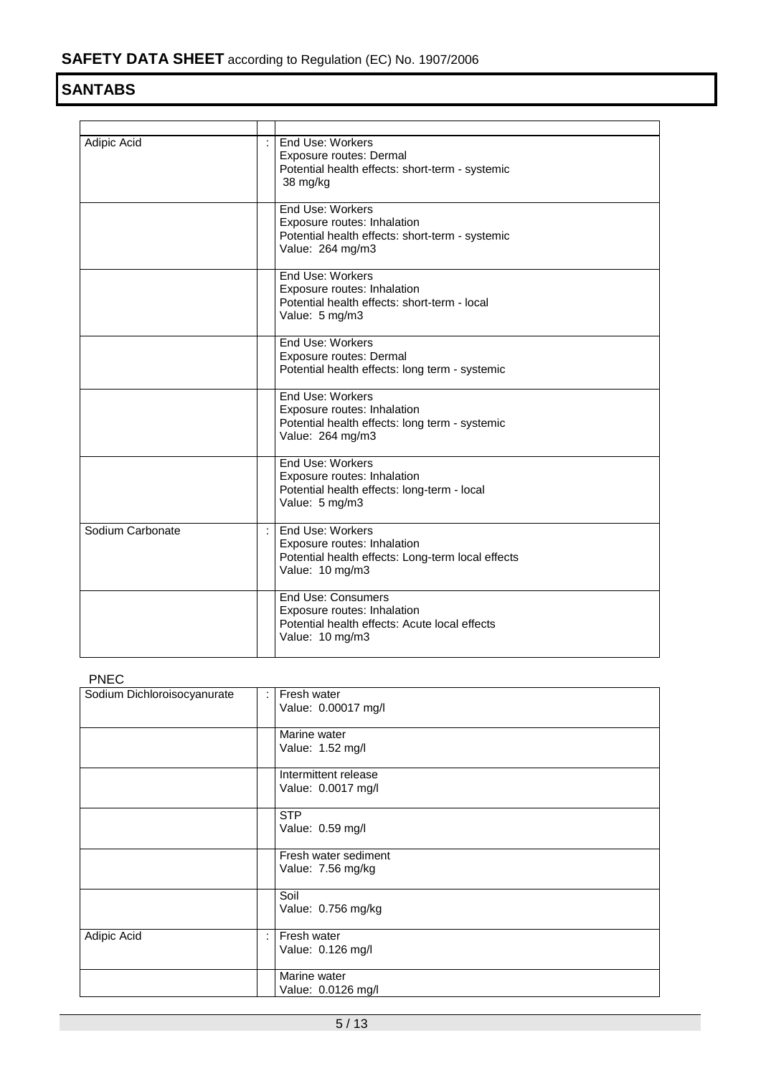| Adipic Acid      | $\epsilon$ | End Use: Workers<br>Exposure routes: Dermal<br>Potential health effects: short-term - systemic<br>38 mg/kg                   |
|------------------|------------|------------------------------------------------------------------------------------------------------------------------------|
|                  |            | End Use: Workers<br>Exposure routes: Inhalation<br>Potential health effects: short-term - systemic<br>Value: 264 mg/m3       |
|                  |            | End Use: Workers<br>Exposure routes: Inhalation<br>Potential health effects: short-term - local<br>Value: 5 mg/m3            |
|                  |            | End Use: Workers<br>Exposure routes: Dermal<br>Potential health effects: long term - systemic                                |
|                  |            | End Use: Workers<br>Exposure routes: Inhalation<br>Potential health effects: long term - systemic<br>Value: 264 mg/m3        |
|                  |            | End Use: Workers<br>Exposure routes: Inhalation<br>Potential health effects: long-term - local<br>Value: 5 mg/m3             |
| Sodium Carbonate | ÷          | End Use: Workers<br>Exposure routes: Inhalation<br>Potential health effects: Long-term local effects<br>Value: 10 mg/m3      |
|                  |            | <b>End Use: Consumers</b><br>Exposure routes: Inhalation<br>Potential health effects: Acute local effects<br>Value: 10 mg/m3 |

PNEC

| .<br>Sodium Dichloroisocyanurate | ÷                         | Fresh water<br>Value: 0.00017 mg/l         |  |  |  |
|----------------------------------|---------------------------|--------------------------------------------|--|--|--|
|                                  |                           | Marine water<br>Value: 1.52 mg/l           |  |  |  |
|                                  |                           | Intermittent release<br>Value: 0.0017 mg/l |  |  |  |
|                                  |                           | <b>STP</b><br>Value: 0.59 mg/l             |  |  |  |
|                                  |                           | Fresh water sediment<br>Value: 7.56 mg/kg  |  |  |  |
|                                  |                           | Soil<br>Value: 0.756 mg/kg                 |  |  |  |
| Adipic Acid                      | $\mathbb{R}^{\mathbb{Z}}$ | Fresh water<br>Value: 0.126 mg/l           |  |  |  |
|                                  |                           | Marine water<br>Value: 0.0126 mg/l         |  |  |  |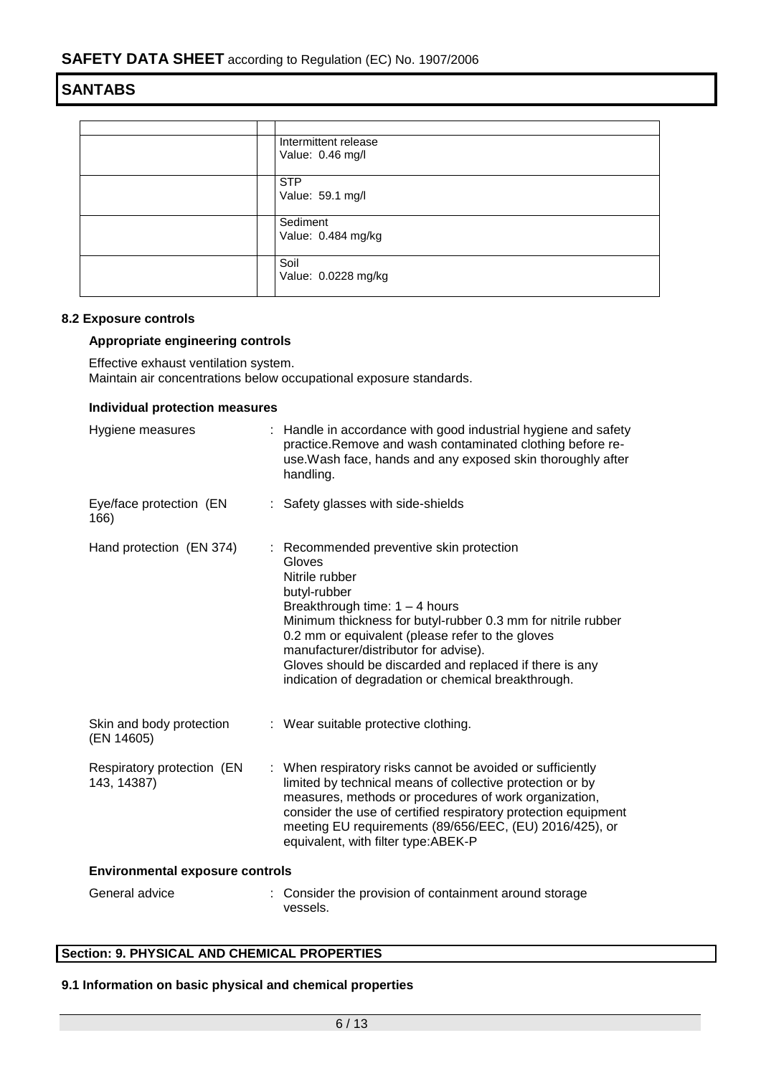| Intermittent release<br>Value: 0.46 mg/l |
|------------------------------------------|
| <b>STP</b><br>Value: 59.1 mg/l           |
| Sediment<br>Value: 0.484 mg/kg           |
| Soil<br>Value: 0.0228 mg/kg              |

### **8.2 Exposure controls**

### **Appropriate engineering controls**

Effective exhaust ventilation system. Maintain air concentrations below occupational exposure standards.

#### **Individual protection measures**

| Hygiene measures                          | : Handle in accordance with good industrial hygiene and safety<br>practice. Remove and wash contaminated clothing before re-<br>use. Wash face, hands and any exposed skin thoroughly after<br>handling.                                                                                                                                                                                                |  |
|-------------------------------------------|---------------------------------------------------------------------------------------------------------------------------------------------------------------------------------------------------------------------------------------------------------------------------------------------------------------------------------------------------------------------------------------------------------|--|
| Eye/face protection (EN<br>166)           | : Safety glasses with side-shields                                                                                                                                                                                                                                                                                                                                                                      |  |
| Hand protection (EN 374)                  | : Recommended preventive skin protection<br>Gloves<br>Nitrile rubber<br>butyl-rubber<br>Breakthrough time: $1 - 4$ hours<br>Minimum thickness for butyl-rubber 0.3 mm for nitrile rubber<br>0.2 mm or equivalent (please refer to the gloves<br>manufacturer/distributor for advise).<br>Gloves should be discarded and replaced if there is any<br>indication of degradation or chemical breakthrough. |  |
| Skin and body protection<br>(EN 14605)    | : Wear suitable protective clothing.                                                                                                                                                                                                                                                                                                                                                                    |  |
| Respiratory protection (EN<br>143, 14387) | : When respiratory risks cannot be avoided or sufficiently<br>limited by technical means of collective protection or by<br>measures, methods or procedures of work organization,<br>consider the use of certified respiratory protection equipment<br>meeting EU requirements (89/656/EEC, (EU) 2016/425), or<br>equivalent, with filter type: ABEK-P                                                   |  |
| <b>Environmental exposure controls</b>    |                                                                                                                                                                                                                                                                                                                                                                                                         |  |
| General advice                            | Consider the provision of containment around storage<br>vessels.                                                                                                                                                                                                                                                                                                                                        |  |

### **Section: 9. PHYSICAL AND CHEMICAL PROPERTIES**

### **9.1 Information on basic physical and chemical properties**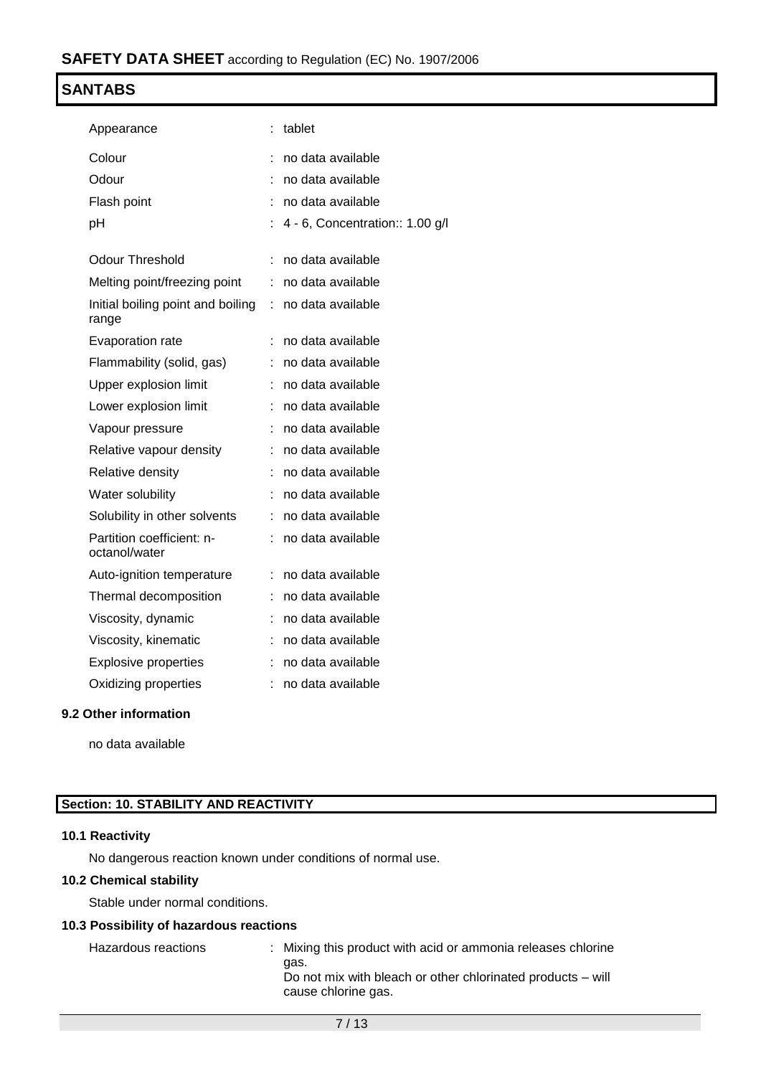| Appearance                                 |    | tablet                          |
|--------------------------------------------|----|---------------------------------|
| Colour                                     |    | no data available               |
| Odour                                      |    | no data available               |
| Flash point                                |    | no data available               |
| рH                                         |    | 4 - 6, Concentration:: 1.00 g/l |
| <b>Odour Threshold</b>                     | t  | no data available               |
| Melting point/freezing point               | t. | no data available               |
| Initial boiling point and boiling<br>range | t. | no data available               |
| Evaporation rate                           |    | no data available               |
| Flammability (solid, gas)                  |    | no data available               |
| Upper explosion limit                      | t. | no data available               |
| Lower explosion limit                      |    | no data available               |
| Vapour pressure                            |    | no data available               |
| Relative vapour density                    |    | no data available               |
| Relative density                           |    | no data available               |
| Water solubility                           | t  | no data available               |
| Solubility in other solvents               | t. | no data available               |
| Partition coefficient: n-<br>octanol/water |    | no data available               |
| Auto-ignition temperature                  | t. | no data available               |
| Thermal decomposition                      |    | no data available               |
| Viscosity, dynamic                         |    | no data available               |
| Viscosity, kinematic                       | t  | no data available               |
| <b>Explosive properties</b>                |    | no data available               |
| Oxidizing properties                       |    | no data available               |
|                                            |    |                                 |

### **9.2 Other information**

no data available

### **Section: 10. STABILITY AND REACTIVITY**

### **10.1 Reactivity**

No dangerous reaction known under conditions of normal use.

### **10.2 Chemical stability**

Stable under normal conditions.

### **10.3 Possibility of hazardous reactions**

| Hazardous reactions | : Mixing this product with acid or ammonia releases chlorine                               |
|---------------------|--------------------------------------------------------------------------------------------|
|                     | aas.<br>Do not mix with bleach or other chlorinated products – will<br>cause chlorine gas. |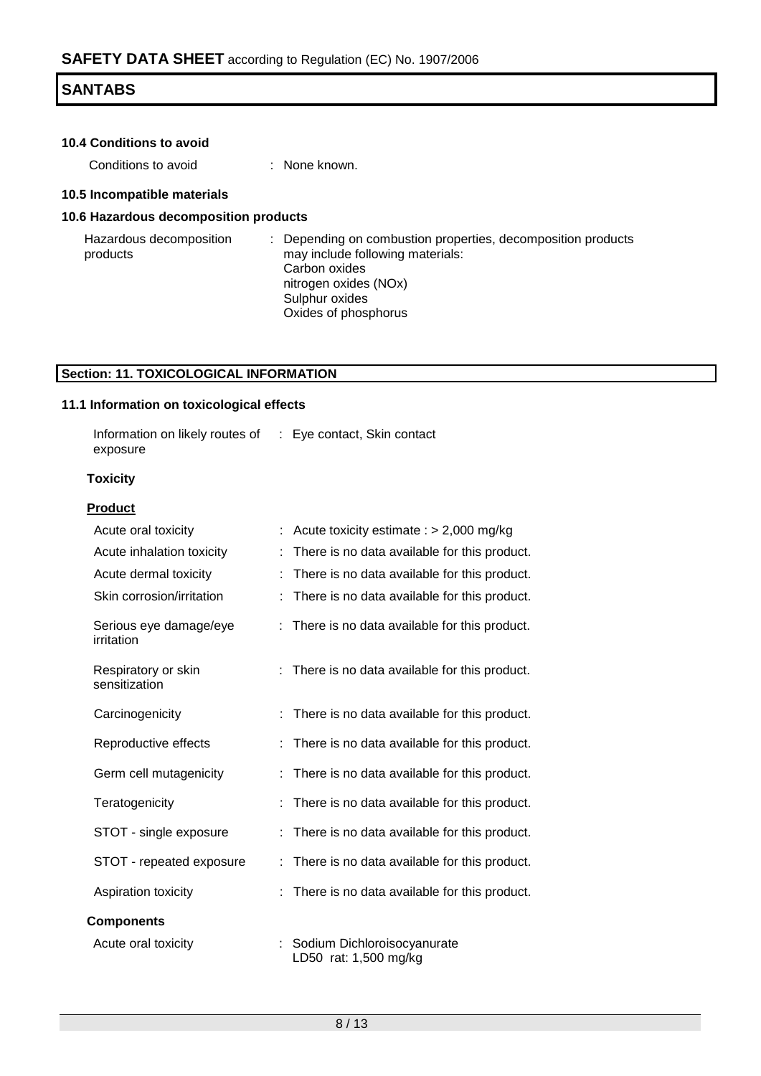| <b>10.4 Conditions to avoid</b> |  |
|---------------------------------|--|
|---------------------------------|--|

Conditions to avoid : None known.

### **10.5 Incompatible materials**

### **10.6 Hazardous decomposition products**

Hazardous decomposition products : Depending on combustion properties, decomposition products may include following materials: Carbon oxides nitrogen oxides (NOx) Sulphur oxides Oxides of phosphorus

### **Section: 11. TOXICOLOGICAL INFORMATION**

#### **11.1 Information on toxicological effects**

| Information on likely routes of | : Eye contact, Skin contact |
|---------------------------------|-----------------------------|
| exposure                        |                             |

### **Toxicity**

### **Product**

| Acute oral toxicity                  | Acute toxicity estimate : $> 2,000$ mg/kg            |
|--------------------------------------|------------------------------------------------------|
| Acute inhalation toxicity            | There is no data available for this product.         |
| Acute dermal toxicity                | There is no data available for this product.         |
| Skin corrosion/irritation            | There is no data available for this product.         |
| Serious eye damage/eye<br>irritation | : There is no data available for this product.       |
| Respiratory or skin<br>sensitization | There is no data available for this product.         |
| Carcinogenicity                      | There is no data available for this product.         |
| Reproductive effects                 | There is no data available for this product.         |
| Germ cell mutagenicity               | There is no data available for this product.         |
| Teratogenicity                       | There is no data available for this product.         |
| STOT - single exposure               | There is no data available for this product.         |
| STOT - repeated exposure             | There is no data available for this product.         |
| Aspiration toxicity                  | There is no data available for this product.         |
| <b>Components</b>                    |                                                      |
| Acute oral toxicity                  | Sodium Dichloroisocyanurate<br>LD50 rat: 1,500 mg/kg |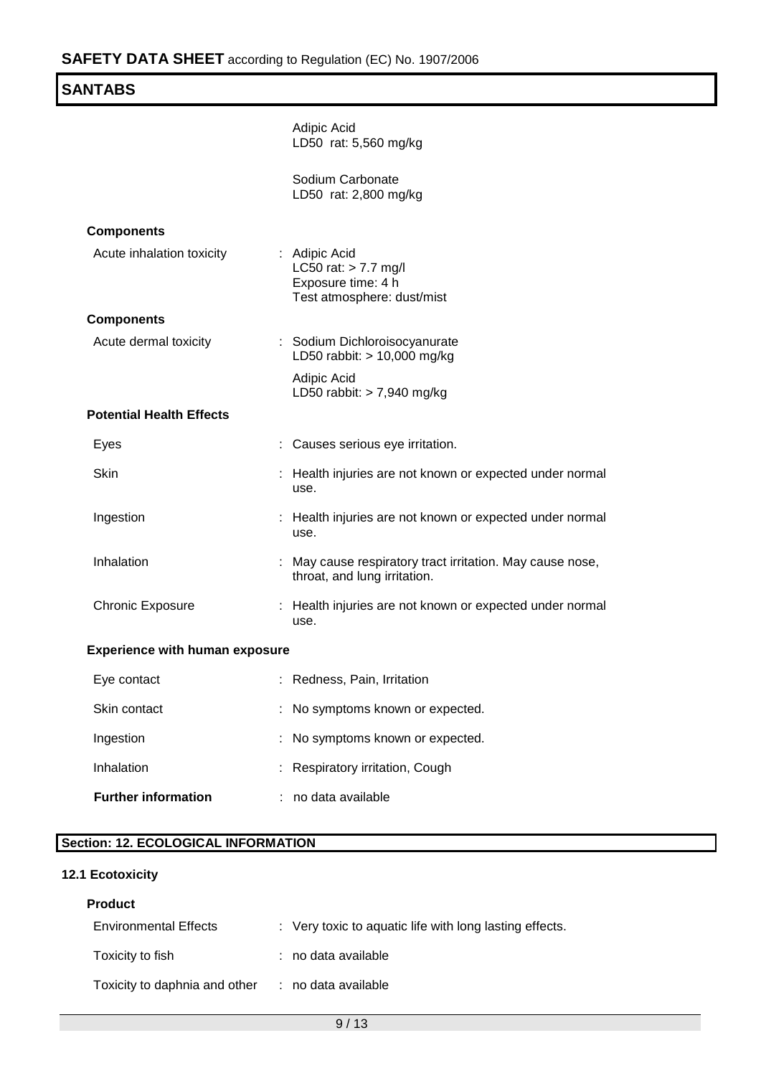| <b>SANTABS</b>                        |                                                                                             |
|---------------------------------------|---------------------------------------------------------------------------------------------|
|                                       | Adipic Acid<br>LD50 rat: 5,560 mg/kg                                                        |
|                                       | Sodium Carbonate<br>LD50 rat: 2,800 mg/kg                                                   |
| <b>Components</b>                     |                                                                                             |
| Acute inhalation toxicity             | : Adipic Acid<br>LC50 rat: $> 7.7$ mg/l<br>Exposure time: 4 h<br>Test atmosphere: dust/mist |
| <b>Components</b>                     |                                                                                             |
| Acute dermal toxicity                 | : Sodium Dichloroisocyanurate<br>LD50 rabbit: > 10,000 mg/kg                                |
|                                       | Adipic Acid<br>LD50 rabbit: $> 7,940$ mg/kg                                                 |
| <b>Potential Health Effects</b>       |                                                                                             |
| Eyes                                  | Causes serious eye irritation.                                                              |
| <b>Skin</b>                           | Health injuries are not known or expected under normal<br>use.                              |
| Ingestion                             | : Health injuries are not known or expected under normal<br>use.                            |
| Inhalation                            | May cause respiratory tract irritation. May cause nose,<br>throat, and lung irritation.     |
| <b>Chronic Exposure</b>               | : Health injuries are not known or expected under normal<br>use.                            |
| <b>Experience with human exposure</b> |                                                                                             |
| Eye contact                           | : Redness, Pain, Irritation                                                                 |
| Skin contact                          | No symptoms known or expected.                                                              |
| Ingestion                             | No symptoms known or expected.                                                              |
| Inhalation                            | Respiratory irritation, Cough                                                               |
| <b>Further information</b>            | no data available                                                                           |
|                                       |                                                                                             |

## **Section: 12. ECOLOGICAL INFORMATION**

### **12.1 Ecotoxicity**

### **Product**

| <b>Environmental Effects</b>  | : Very toxic to aquatic life with long lasting effects. |
|-------------------------------|---------------------------------------------------------|
| Toxicity to fish              | : no data available                                     |
| Toxicity to daphnia and other | : no data available                                     |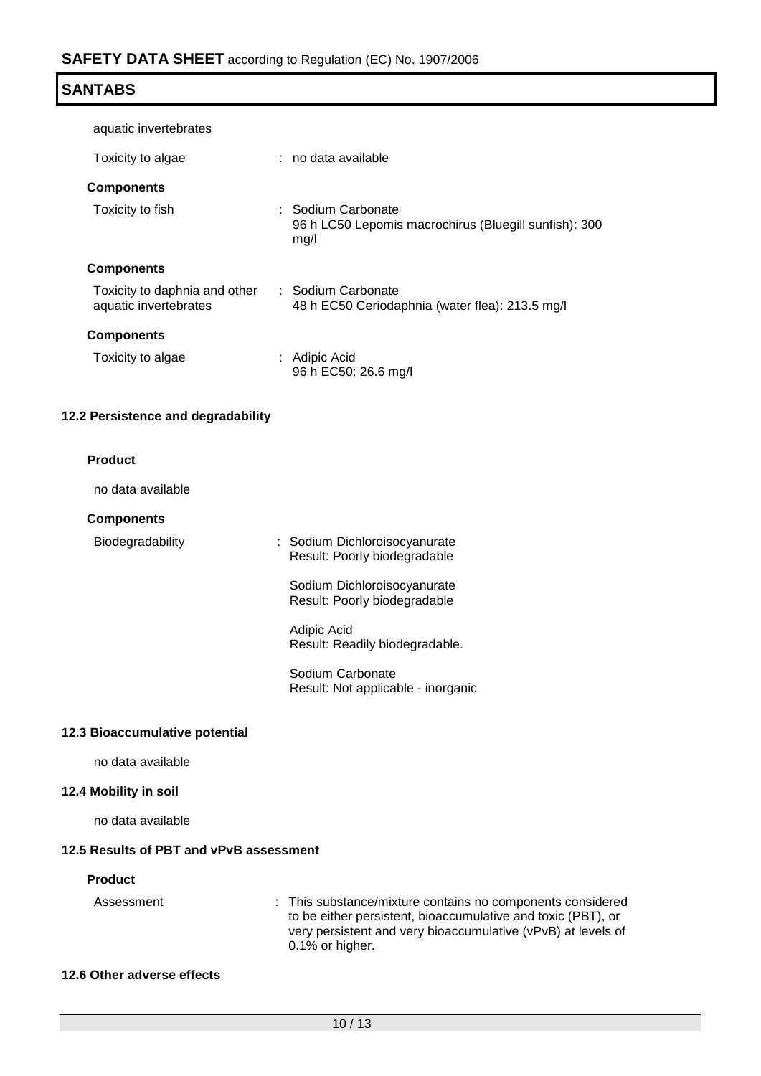| SANTABS |  |
|---------|--|
|---------|--|

| aquatic invertebrates                                  |                                                                                     |
|--------------------------------------------------------|-------------------------------------------------------------------------------------|
| Toxicity to algae                                      | : no data available                                                                 |
| <b>Components</b>                                      |                                                                                     |
| Toxicity to fish                                       | : Sodium Carbonate<br>96 h LC50 Lepomis macrochirus (Bluegill sunfish): 300<br>mg/l |
| <b>Components</b>                                      |                                                                                     |
| Toxicity to daphnia and other<br>aquatic invertebrates | : Sodium Carbonate<br>48 h EC50 Ceriodaphnia (water flea): 213.5 mg/l               |
| <b>Components</b>                                      |                                                                                     |
| Toxicity to algae                                      | : Adipic Acid<br>96 h EC50: 26.6 mg/l                                               |

### **12.2 Persistence and degradability**

no data available

### **Components**

Biodegradability : Sodium Dichloroisocyanurate Result: Poorly biodegradable

> Sodium Dichloroisocyanurate Result: Poorly biodegradable

Adipic Acid Result: Readily biodegradable.

Sodium Carbonate Result: Not applicable - inorganic

### **12.3 Bioaccumulative potential**

no data available

### **12.4 Mobility in soil**

no data available

### **12.5 Results of PBT and vPvB assessment**

### **Product**

| Assessment | : This substance/mixture contains no components considered   |
|------------|--------------------------------------------------------------|
|            | to be either persistent, bioaccumulative and toxic (PBT), or |
|            | very persistent and very bioaccumulative (vPvB) at levels of |
|            | $0.1\%$ or higher.                                           |

### **12.6 Other adverse effects**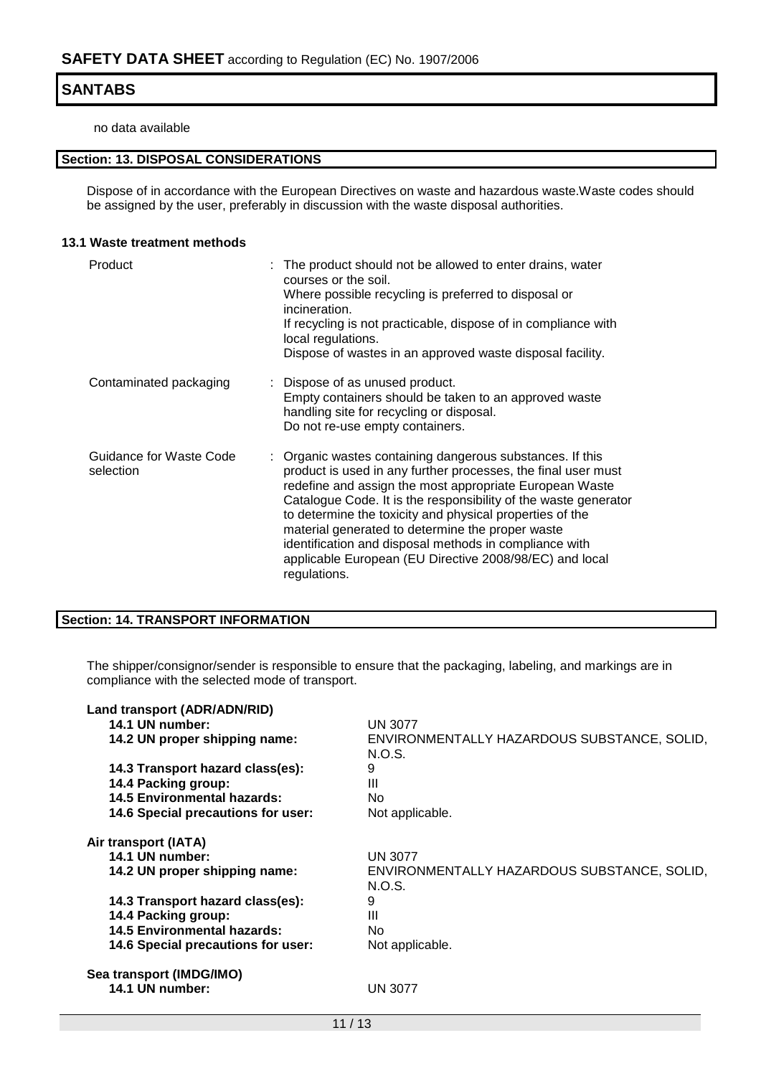no data available

### **Section: 13. DISPOSAL CONSIDERATIONS**

Dispose of in accordance with the European Directives on waste and hazardous waste.Waste codes should be assigned by the user, preferably in discussion with the waste disposal authorities.

### **13.1 Waste treatment methods**

| Product                              | : The product should not be allowed to enter drains, water<br>courses or the soil.<br>Where possible recycling is preferred to disposal or<br>incineration.<br>If recycling is not practicable, dispose of in compliance with<br>local regulations.<br>Dispose of wastes in an approved waste disposal facility.                                                                                                                                                                                              |
|--------------------------------------|---------------------------------------------------------------------------------------------------------------------------------------------------------------------------------------------------------------------------------------------------------------------------------------------------------------------------------------------------------------------------------------------------------------------------------------------------------------------------------------------------------------|
| Contaminated packaging               | : Dispose of as unused product.<br>Empty containers should be taken to an approved waste<br>handling site for recycling or disposal.<br>Do not re-use empty containers.                                                                                                                                                                                                                                                                                                                                       |
| Guidance for Waste Code<br>selection | : Organic wastes containing dangerous substances. If this<br>product is used in any further processes, the final user must<br>redefine and assign the most appropriate European Waste<br>Catalogue Code. It is the responsibility of the waste generator<br>to determine the toxicity and physical properties of the<br>material generated to determine the proper waste<br>identification and disposal methods in compliance with<br>applicable European (EU Directive 2008/98/EC) and local<br>regulations. |

### **Section: 14. TRANSPORT INFORMATION**

The shipper/consignor/sender is responsible to ensure that the packaging, labeling, and markings are in compliance with the selected mode of transport.

| Land transport (ADR/ADN/RID)              |                                                       |
|-------------------------------------------|-------------------------------------------------------|
| 14.1 UN number:                           | <b>UN 3077</b>                                        |
| 14.2 UN proper shipping name:             | ENVIRONMENTALLY HAZARDOUS SUBSTANCE, SOLID,<br>N.O.S. |
| 14.3 Transport hazard class(es):          | 9                                                     |
| 14.4 Packing group:                       | Ш                                                     |
| 14.5 Environmental hazards:               | No.                                                   |
| 14.6 Special precautions for user:        | Not applicable.                                       |
| Air transport (IATA)                      |                                                       |
| 14.1 UN number:                           | <b>UN 3077</b>                                        |
| 14.2 UN proper shipping name:             | ENVIRONMENTALLY HAZARDOUS SUBSTANCE, SOLID,<br>N.O.S. |
| 14.3 Transport hazard class(es):          | 9                                                     |
| 14.4 Packing group:                       | Ш                                                     |
| <b>14.5 Environmental hazards:</b>        | No.                                                   |
| <b>14.6 Special precautions for user:</b> | Not applicable.                                       |
| Sea transport (IMDG/IMO)                  |                                                       |
| 14.1 UN number:                           | <b>UN 3077</b>                                        |
|                                           | .                                                     |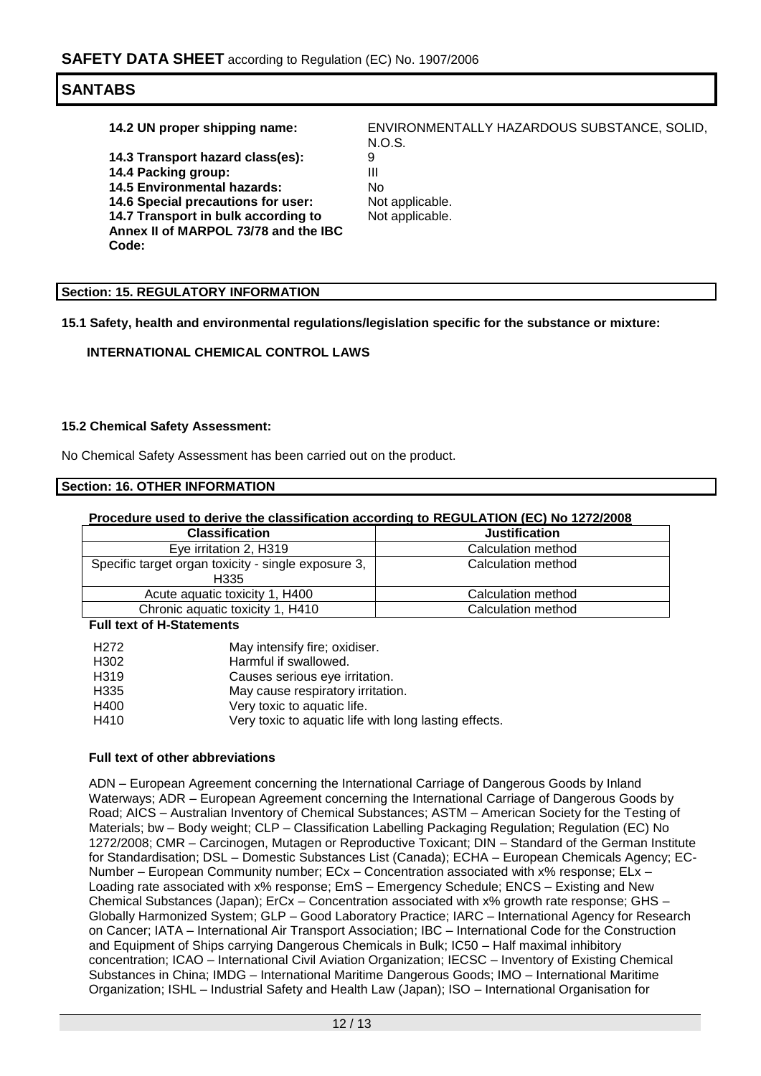**14.3 Transport hazard class(es):** 9 **14.4 Packing group:** III III<br>**14.5 Environmental hazards:** No **14.5 Environmental hazards:** No<br>**14.6 Special precautions for user:** Not applicable. **14.6 Special precautions for user:** 

**14.7 Transport in bulk according to Annex II of MARPOL 73/78 and the IBC Code:**

**14.2 UN proper shipping name:** ENVIRONMENTALLY HAZARDOUS SUBSTANCE, SOLID, N.O.S.

Not applicable.

### **Section: 15. REGULATORY INFORMATION**

**15.1 Safety, health and environmental regulations/legislation specific for the substance or mixture:**

**INTERNATIONAL CHEMICAL CONTROL LAWS**

#### **15.2 Chemical Safety Assessment:**

No Chemical Safety Assessment has been carried out on the product.

### **Section: 16. OTHER INFORMATION**

#### **Procedure used to derive the classification according to REGULATION (EC) No 1272/2008**

| <b>Classification</b>                                       | <b>Justification</b> |
|-------------------------------------------------------------|----------------------|
| Eye irritation 2, H319                                      | Calculation method   |
| Specific target organ toxicity - single exposure 3,<br>H335 | Calculation method   |
| Acute aguatic toxicity 1, H400                              | Calculation method   |
| Chronic aquatic toxicity 1, H410                            | Calculation method   |

#### **Full text of H-Statements**

| H <sub>272</sub>  | May intensify fire; oxidiser.                         |
|-------------------|-------------------------------------------------------|
| H302              | Harmful if swallowed.                                 |
| H <sub>3</sub> 19 | Causes serious eye irritation.                        |
| H <sub>335</sub>  | May cause respiratory irritation.                     |
| H400              | Very toxic to aquatic life.                           |
| H410              | Very toxic to aquatic life with long lasting effects. |
|                   |                                                       |

#### **Full text of other abbreviations**

ADN – European Agreement concerning the International Carriage of Dangerous Goods by Inland Waterways; ADR – European Agreement concerning the International Carriage of Dangerous Goods by Road; AICS – Australian Inventory of Chemical Substances; ASTM – American Society for the Testing of Materials; bw – Body weight; CLP – Classification Labelling Packaging Regulation; Regulation (EC) No 1272/2008; CMR – Carcinogen, Mutagen or Reproductive Toxicant; DIN – Standard of the German Institute for Standardisation; DSL – Domestic Substances List (Canada); ECHA – European Chemicals Agency; EC-Number – European Community number; ECx – Concentration associated with x% response; ELx – Loading rate associated with x% response; EmS – Emergency Schedule; ENCS – Existing and New Chemical Substances (Japan); ErCx – Concentration associated with x% growth rate response; GHS – Globally Harmonized System; GLP – Good Laboratory Practice; IARC – International Agency for Research on Cancer; IATA – International Air Transport Association; IBC – International Code for the Construction and Equipment of Ships carrying Dangerous Chemicals in Bulk; IC50 – Half maximal inhibitory concentration; ICAO – International Civil Aviation Organization; IECSC – Inventory of Existing Chemical Substances in China; IMDG – International Maritime Dangerous Goods; IMO – International Maritime Organization; ISHL – Industrial Safety and Health Law (Japan); ISO – International Organisation for